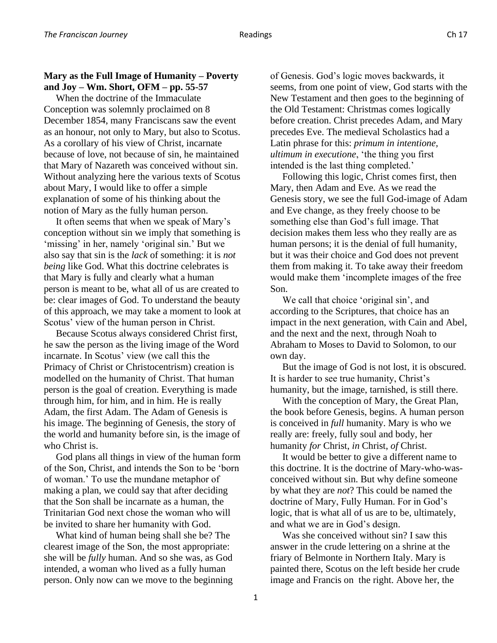# **Mary as the Full Image of Humanity – Poverty and Joy – Wm. Short, OFM – pp. 55-57**

 When the doctrine of the Immaculate Conception was solemnly proclaimed on 8 December 1854, many Franciscans saw the event as an honour, not only to Mary, but also to Scotus. As a corollary of his view of Christ, incarnate because of love, not because of sin, he maintained that Mary of Nazareth was conceived without sin. Without analyzing here the various texts of Scotus about Mary, I would like to offer a simple explanation of some of his thinking about the notion of Mary as the fully human person.

 It often seems that when we speak of Mary's conception without sin we imply that something is 'missing' in her, namely 'original sin.' But we also say that sin is the *lack* of something: it is *not being* like God. What this doctrine celebrates is that Mary is fully and clearly what a human person is meant to be, what all of us are created to be: clear images of God. To understand the beauty of this approach, we may take a moment to look at Scotus' view of the human person in Christ.

 Because Scotus always considered Christ first, he saw the person as the living image of the Word incarnate. In Scotus' view (we call this the Primacy of Christ or Christocentrism) creation is modelled on the humanity of Christ. That human person is the goal of creation. Everything is made through him, for him, and in him. He is really Adam, the first Adam. The Adam of Genesis is his image. The beginning of Genesis, the story of the world and humanity before sin, is the image of who Christ is.

 God plans all things in view of the human form of the Son, Christ, and intends the Son to be 'born of woman.' To use the mundane metaphor of making a plan, we could say that after deciding that the Son shall be incarnate as a human, the Trinitarian God next chose the woman who will be invited to share her humanity with God.

 What kind of human being shall she be? The clearest image of the Son, the most appropriate: she will be *fully* human. And so she was, as God intended, a woman who lived as a fully human person. Only now can we move to the beginning of Genesis. God's logic moves backwards, it seems, from one point of view, God starts with the New Testament and then goes to the beginning of the Old Testament: Christmas comes logically before creation. Christ precedes Adam, and Mary precedes Eve. The medieval Scholastics had a Latin phrase for this: *primum in intentione, ultimum in executione*, 'the thing you first intended is the last thing completed.'

 Following this logic, Christ comes first, then Mary, then Adam and Eve. As we read the Genesis story, we see the full God-image of Adam and Eve change, as they freely choose to be something else than God's full image. That decision makes them less who they really are as human persons; it is the denial of full humanity, but it was their choice and God does not prevent them from making it. To take away their freedom would make them 'incomplete images of the free Son.

 We call that choice 'original sin', and according to the Scriptures, that choice has an impact in the next generation, with Cain and Abel, and the next and the next, through Noah to Abraham to Moses to David to Solomon, to our own day.

 But the image of God is not lost, it is obscured. It is harder to see true humanity, Christ's humanity, but the image, tarnished, is still there.

 With the conception of Mary, the Great Plan, the book before Genesis, begins. A human person is conceived in *full* humanity. Mary is who we really are: freely, fully soul and body, her humanity *for* Christ, *in* Christ, *of* Christ.

 It would be better to give a different name to this doctrine. It is the doctrine of Mary-who-wasconceived without sin. But why define someone by what they are *not*? This could be named the doctrine of Mary, Fully Human. For in God's logic, that is what all of us are to be, ultimately, and what we are in God's design.

 Was she conceived without sin? I saw this answer in the crude lettering on a shrine at the friary of Belmonte in Northern Italy. Mary is painted there, Scotus on the left beside her crude image and Francis on the right. Above her, the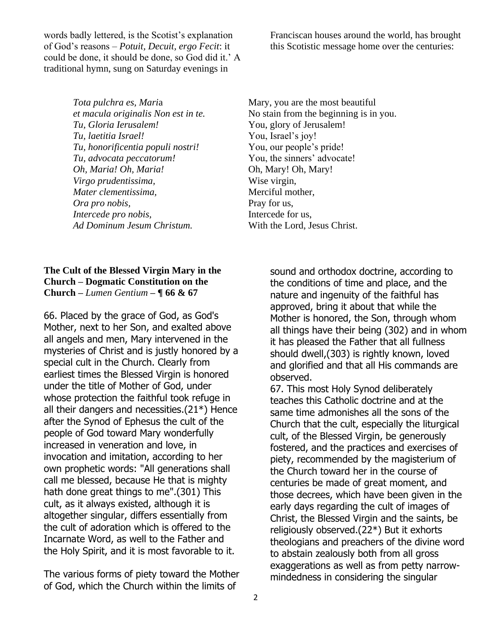words badly lettered, is the Scotist's explanation of God's reasons – *Potuit, Decuit, ergo Fecit*: it could be done, it should be done, so God did it.' A traditional hymn, sung on Saturday evenings in

> *Tu, Gloria Ierusalem!* You, glory of Jerusalem! *Tu, laetitia Israel!* You, Israel's joy! *Tu, honorificentia populi nostri!* You, our people's pride! *Tu, advocata peccatorum!* You, the sinners' advocate! *Oh, Maria! Oh, Maria!* Oh, Mary! Oh, Mary! *Virgo prudentissima,* Wise virgin, *Mater clementissima,* Merciful mother, *Ora pro nobis,* Pray for us, *Intercede pro nobis,* **Intercede for us,**

# **The Cult of the Blessed Virgin Mary in the Church – Dogmatic Constitution on the Church –** *Lumen Gentium* **– ¶ 66 & 67**

66. Placed by the grace of God, as God's Mother, next to her Son, and exalted above all angels and men, Mary intervened in the mysteries of Christ and is justly honored by a special cult in the Church. Clearly from earliest times the Blessed Virgin is honored under the title of Mother of God, under whose protection the faithful took refuge in all their dangers and necessities.(21\*) Hence after the Synod of Ephesus the cult of the people of God toward Mary wonderfully increased in veneration and love, in invocation and imitation, according to her own prophetic words: "All generations shall call me blessed, because He that is mighty hath done great things to me".(301) This cult, as it always existed, although it is altogether singular, differs essentially from the cult of adoration which is offered to the Incarnate Word, as well to the Father and the Holy Spirit, and it is most favorable to it.

The various forms of piety toward the Mother of God, which the Church within the limits of

Franciscan houses around the world, has brought this Scotistic message home over the centuries:

*Tota pulchra es, Maria* Mary, you are the most beautiful *et macula originalis Non est in te.* No stain from the beginning is in you. Ad Dominum Jesum Christum. **With the Lord, Jesus Christ.** 

> sound and orthodox doctrine, according to the conditions of time and place, and the nature and ingenuity of the faithful has approved, bring it about that while the Mother is honored, the Son, through whom all things have their being (302) and in whom it has pleased the Father that all fullness should dwell,(303) is rightly known, loved and glorified and that all His commands are observed.

67. This most Holy Synod deliberately teaches this Catholic doctrine and at the same time admonishes all the sons of the Church that the cult, especially the liturgical cult, of the Blessed Virgin, be generously fostered, and the practices and exercises of piety, recommended by the magisterium of the Church toward her in the course of centuries be made of great moment, and those decrees, which have been given in the early days regarding the cult of images of Christ, the Blessed Virgin and the saints, be religiously observed.(22\*) But it exhorts theologians and preachers of the divine word to abstain zealously both from all gross exaggerations as well as from petty narrowmindedness in considering the singular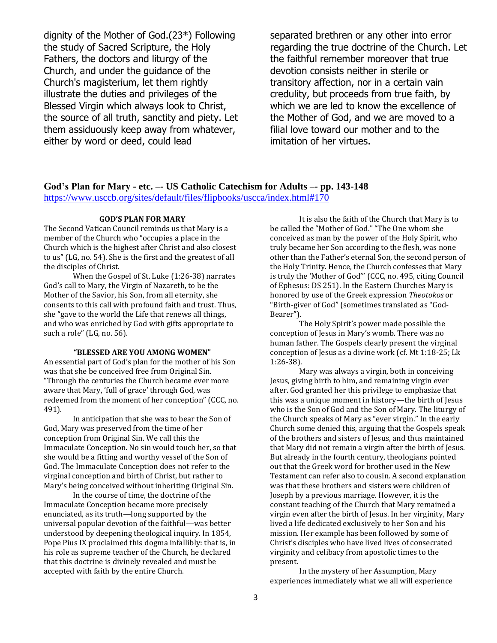dignity of the Mother of God.(23\*) Following the study of Sacred Scripture, the Holy Fathers, the doctors and liturgy of the Church, and under the guidance of the Church's magisterium, let them rightly illustrate the duties and privileges of the Blessed Virgin which always look to Christ, the source of all truth, sanctity and piety. Let them assiduously keep away from whatever, either by word or deed, could lead

separated brethren or any other into error regarding the true doctrine of the Church. Let the faithful remember moreover that true devotion consists neither in sterile or transitory affection, nor in a certain vain credulity, but proceeds from true faith, by which we are led to know the excellence of the Mother of God, and we are moved to a filial love toward our mother and to the imitation of her virtues.

# **God's Plan for Mary - etc. –- US Catholic Catechism for Adults –- pp. 143-148**

<https://www.usccb.org/sites/default/files/flipbooks/uscca/index.html#170>

# **GOD'S PLAN FOR MARY**

The Second Vatican Council reminds us that Mary is a member of the Church who "occupies a place in the Church which is the highest after Christ and also closest to us" (LG, no. 54). She is the first and the greatest of all the disciples of Christ.

When the Gospel of St. Luke (1:26-38) narrates God's call to Mary, the Virgin of Nazareth, to be the Mother of the Savior, his Son, from all eternity, she consents to this call with profound faith and trust. Thus, she "gave to the world the Life that renews all things, and who was enriched by God with gifts appropriate to such a role" (LG, no. 56).

## **"BLESSED ARE YOU AMONG WOMEN"**

An essential part of God's plan for the mother of his Son was that she be conceived free from Original Sin. "Through the centuries the Church became ever more aware that Mary, 'full of grace' through God, was redeemed from the moment of her conception" (CCC, no. 491).

In anticipation that she was to bear the Son of God, Mary was preserved from the time of her conception from Original Sin. We call this the Immaculate Conception. No sin would touch her, so that she would be a fitting and worthy vessel of the Son of God. The Immaculate Conception does not refer to the virginal conception and birth of Christ, but rather to Mary's being conceived without inheriting Original Sin.

In the course of time, the doctrine of the Immaculate Conception became more precisely enunciated, as its truth—long supported by the universal popular devotion of the faithful—was better understood by deepening theological inquiry. In 1854, Pope Pius IX proclaimed this dogma infallibly: that is, in his role as supreme teacher of the Church, he declared that this doctrine is divinely revealed and must be accepted with faith by the entire Church.

It is also the faith of the Church that Mary is to be called the "Mother of God." "The One whom she conceived as man by the power of the Holy Spirit, who truly became her Son according to the flesh, was none other than the Father's eternal Son, the second person of the Holy Trinity. Hence, the Church confesses that Mary is truly the 'Mother of God'" (CCC, no. 495, citing Council of Ephesus: DS 251). In the Eastern Churches Mary is honored by use of the Greek expression *Theotokos* or "Birth-giver of God" (sometimes translated as "God-Bearer").

The Holy Spirit's power made possible the conception of Jesus in Mary's womb. There was no human father. The Gospels clearly present the virginal conception of Jesus as a divine work (cf. Mt 1:18-25; Lk 1:26-38).

Mary was always a virgin, both in conceiving Jesus, giving birth to him, and remaining virgin ever after. God granted her this privilege to emphasize that this was a unique moment in history—the birth of Jesus who is the Son of God and the Son of Mary. The liturgy of the Church speaks of Mary as "ever virgin." In the early Church some denied this, arguing that the Gospels speak of the brothers and sisters of Jesus, and thus maintained that Mary did not remain a virgin after the birth of Jesus. But already in the fourth century, theologians pointed out that the Greek word for brother used in the New Testament can refer also to cousin. A second explanation was that these brothers and sisters were children of Joseph by a previous marriage. However, it is the constant teaching of the Church that Mary remained a virgin even after the birth of Jesus. In her virginity, Mary lived a life dedicated exclusively to her Son and his mission. Her example has been followed by some of Christ's disciples who have lived lives of consecrated virginity and celibacy from apostolic times to the present.

In the mystery of her Assumption, Mary experiences immediately what we all will experience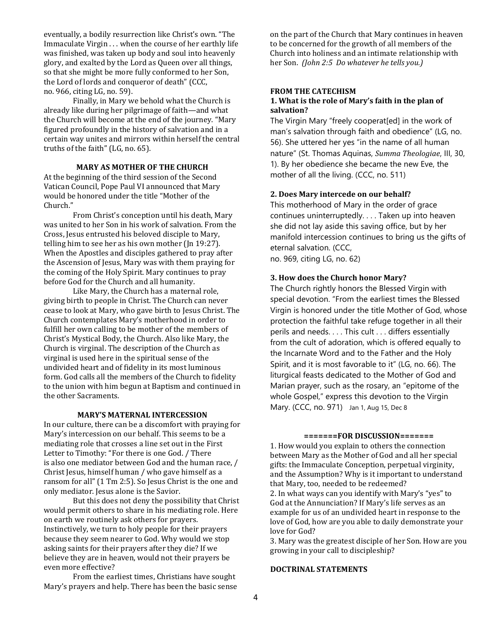eventually, a bodily resurrection like Christ's own. "The Immaculate Virgin . . . when the course of her earthly life was finished, was taken up body and soul into heavenly glory, and exalted by the Lord as Queen over all things, so that she might be more fully conformed to her Son, the Lord of lords and conqueror of death" (CCC, no. 966, citing LG, no. 59).

Finally, in Mary we behold what the Church is already like during her pilgrimage of faith—and what the Church will become at the end of the journey. "Mary figured profoundly in the history of salvation and in a certain way unites and mirrors within herself the central truths of the faith" (LG, no. 65).

# **MARY AS MOTHER OF THE CHURCH**

At the beginning of the third session of the Second Vatican Council, Pope Paul VI announced that Mary would be honored under the title "Mother of the Church."

From Christ's conception until his death, Mary was united to her Son in his work of salvation. From the Cross, Jesus entrusted his beloved disciple to Mary, telling him to see her as his own mother (Jn 19:27). When the Apostles and disciples gathered to pray after the Ascension of Jesus, Mary was with them praying for the coming of the Holy Spirit. Mary continues to pray before God for the Church and all humanity.

Like Mary, the Church has a maternal role, giving birth to people in Christ. The Church can never cease to look at Mary, who gave birth to Jesus Christ. The Church contemplates Mary's motherhood in order to fulfill her own calling to be mother of the members of Christ's Mystical Body, the Church. Also like Mary, the Church is virginal. The description of the Church as virginal is used here in the spiritual sense of the undivided heart and of fidelity in its most luminous form. God calls all the members of the Church to fidelity to the union with him begun at Baptism and continued in the other Sacraments.

#### **MARY'S MATERNAL INTERCESSION**

In our culture, there can be a discomfort with praying for Mary's intercession on our behalf. This seems to be a mediating role that crosses a line set out in the First Letter to Timothy: "For there is one God. / There is also one mediator between God and the human race, / Christ Jesus, himself human / who gave himself as a ransom for all" (1 Tm 2:5). So Jesus Christ is the one and only mediator. Jesus alone is the Savior.

But this does not deny the possibility that Christ would permit others to share in his mediating role. Here on earth we routinely ask others for prayers. Instinctively, we turn to holy people for their prayers because they seem nearer to God. Why would we stop asking saints for their prayers after they die? If we believe they are in heaven, would not their prayers be even more effective?

From the earliest times, Christians have sought Mary's prayers and help. There has been the basic sense on the part of the Church that Mary continues in heaven to be concerned for the growth of all members of the Church into holiness and an intimate relationship with her Son. *(John 2:5 Do whatever he tells you.)*

#### **FROM THE CATECHISM**

# **1. What is the role of Mary's faith in the plan of salvation?**

The Virgin Mary "freely cooperat[ed] in the work of man's salvation through faith and obedience" (LG, no. 56). She uttered her yes "in the name of all human nature" (St. Thomas Aquinas, *Summa Theologiae*, III, 30, 1). By her obedience she became the new Eve, the mother of all the living. (CCC, no. 511)

## **2. Does Mary intercede on our behalf?**

This motherhood of Mary in the order of grace continues uninterruptedly. . . . Taken up into heaven she did not lay aside this saving office, but by her manifold intercession continues to bring us the gifts of eternal salvation. (CCC, no. 969, citing LG, no. 62)

#### **3. How does the Church honor Mary?**

The Church rightly honors the Blessed Virgin with special devotion. "From the earliest times the Blessed Virgin is honored under the title Mother of God, whose protection the faithful take refuge together in all their perils and needs. . . . This cult . . . differs essentially from the cult of adoration, which is offered equally to the Incarnate Word and to the Father and the Holy Spirit, and it is most favorable to it" (LG, no. 66). The liturgical feasts dedicated to the Mother of God and Marian prayer, such as the rosary, an "epitome of the whole Gospel," express this devotion to the Virgin Mary. (CCC, no. 971) Jan 1, Aug 15, Dec 8

#### **=======FOR DISCUSSION=======**

1. How would you explain to others the connection between Mary as the Mother of God and all her special gifts: the Immaculate Conception, perpetual virginity, and the Assumption? Why is it important to understand that Mary, too, needed to be redeemed? 2. In what ways can you identify with Mary's "yes" to God at the Annunciation? If Mary's life serves as an example for us of an undivided heart in response to the love of God, how are you able to daily demonstrate your love for God?

3. Mary was the greatest disciple of her Son. How are you growing in your call to discipleship?

#### **DOCTRINAL STATEMENTS**